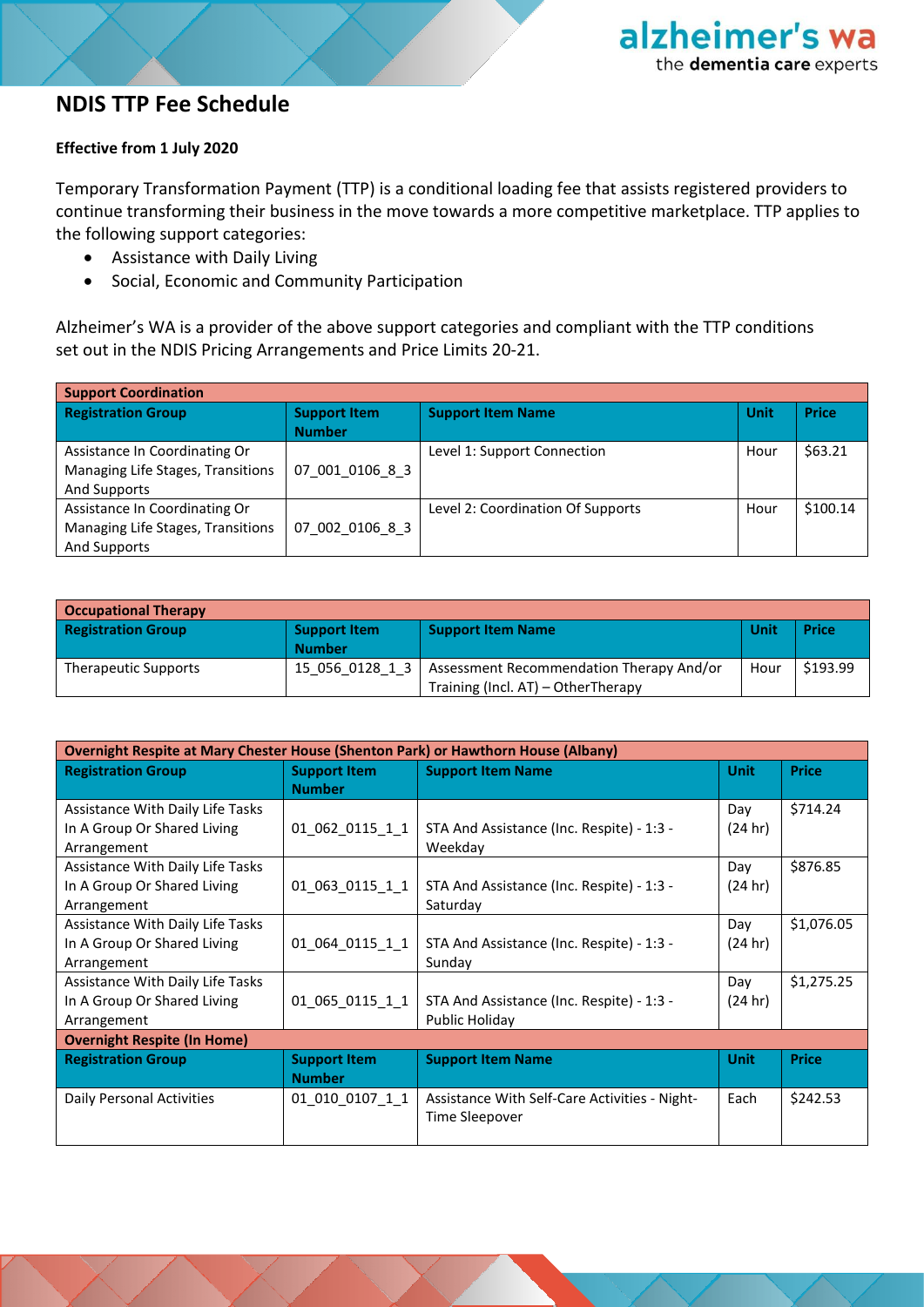### **NDIS TTP Fee Schedule**

#### **Effective from 1 July 2020**

Temporary Transformation Payment (TTP) is a conditional loading fee that assists registered providers to continue transforming their business in the move towards a more competitive marketplace. TTP applies to the following support categories:

- Assistance with Daily Living
- Social, Economic and Community Participation

Alzheimer's WA is a provider of the above support categories and compliant with the TTP conditions set out in the NDIS Pricing Arrangements and Price Limits 20-21.

| <b>Support Coordination</b>       |                     |                                   |      |              |
|-----------------------------------|---------------------|-----------------------------------|------|--------------|
| <b>Registration Group</b>         | <b>Support Item</b> | <b>Support Item Name</b>          | Unit | <b>Price</b> |
|                                   | <b>Number</b>       |                                   |      |              |
| Assistance In Coordinating Or     |                     | Level 1: Support Connection       | Hour | \$63.21      |
| Managing Life Stages, Transitions | 07 001 0106 8 3     |                                   |      |              |
| And Supports                      |                     |                                   |      |              |
| Assistance In Coordinating Or     |                     | Level 2: Coordination Of Supports | Hour | \$100.14     |
| Managing Life Stages, Transitions | 07 002 0106 8 3     |                                   |      |              |
| And Supports                      |                     |                                   |      |              |

| <b>Occupational Therapy</b> |                                      |                                                                                |             |              |
|-----------------------------|--------------------------------------|--------------------------------------------------------------------------------|-------------|--------------|
| <b>Registration Group</b>   | <b>Support Item</b><br><b>Number</b> | <b>Support Item Name</b>                                                       | <b>Unit</b> | <b>Price</b> |
| Therapeutic Supports        | 15 056 0128 1 3                      | Assessment Recommendation Therapy And/or<br>Training (Incl. AT) - OtherTherapy | Hour        | \$193.99     |

| <b>Overnight Respite at Mary Chester House (Shenton Park) or Hawthorn House (Albany)</b> |                     |                                               |             |              |  |
|------------------------------------------------------------------------------------------|---------------------|-----------------------------------------------|-------------|--------------|--|
| <b>Registration Group</b>                                                                | <b>Support Item</b> | <b>Support Item Name</b>                      | <b>Unit</b> | <b>Price</b> |  |
|                                                                                          | <b>Number</b>       |                                               |             |              |  |
| Assistance With Daily Life Tasks                                                         |                     |                                               | Day         | \$714.24     |  |
| In A Group Or Shared Living                                                              | 01_062_0115_1_1     | STA And Assistance (Inc. Respite) - 1:3 -     | (24 hr)     |              |  |
| Arrangement                                                                              |                     | Weekday                                       |             |              |  |
| Assistance With Daily Life Tasks                                                         |                     |                                               | Day         | \$876.85     |  |
| In A Group Or Shared Living                                                              | 01 063 0115 1 1     | STA And Assistance (Inc. Respite) - 1:3 -     | (24 hr)     |              |  |
| Arrangement                                                                              |                     | Saturday                                      |             |              |  |
| Assistance With Daily Life Tasks                                                         |                     |                                               | Day         | \$1,076.05   |  |
| In A Group Or Shared Living                                                              | 01_064_0115_1_1     | STA And Assistance (Inc. Respite) - 1:3 -     | (24 hr)     |              |  |
| Arrangement                                                                              |                     | Sunday                                        |             |              |  |
| Assistance With Daily Life Tasks                                                         |                     |                                               | Day         | \$1,275.25   |  |
| In A Group Or Shared Living                                                              | 01 065 0115 1 1     | STA And Assistance (Inc. Respite) - 1:3 -     | (24 hr)     |              |  |
| Arrangement                                                                              |                     | Public Holiday                                |             |              |  |
| <b>Overnight Respite (In Home)</b>                                                       |                     |                                               |             |              |  |
| <b>Registration Group</b>                                                                | <b>Support Item</b> | <b>Support Item Name</b>                      | <b>Unit</b> | <b>Price</b> |  |
|                                                                                          | <b>Number</b>       |                                               |             |              |  |
| Daily Personal Activities                                                                | 01 010 0107 1 1     | Assistance With Self-Care Activities - Night- | Each        | \$242.53     |  |
|                                                                                          |                     | <b>Time Sleepover</b>                         |             |              |  |
|                                                                                          |                     |                                               |             |              |  |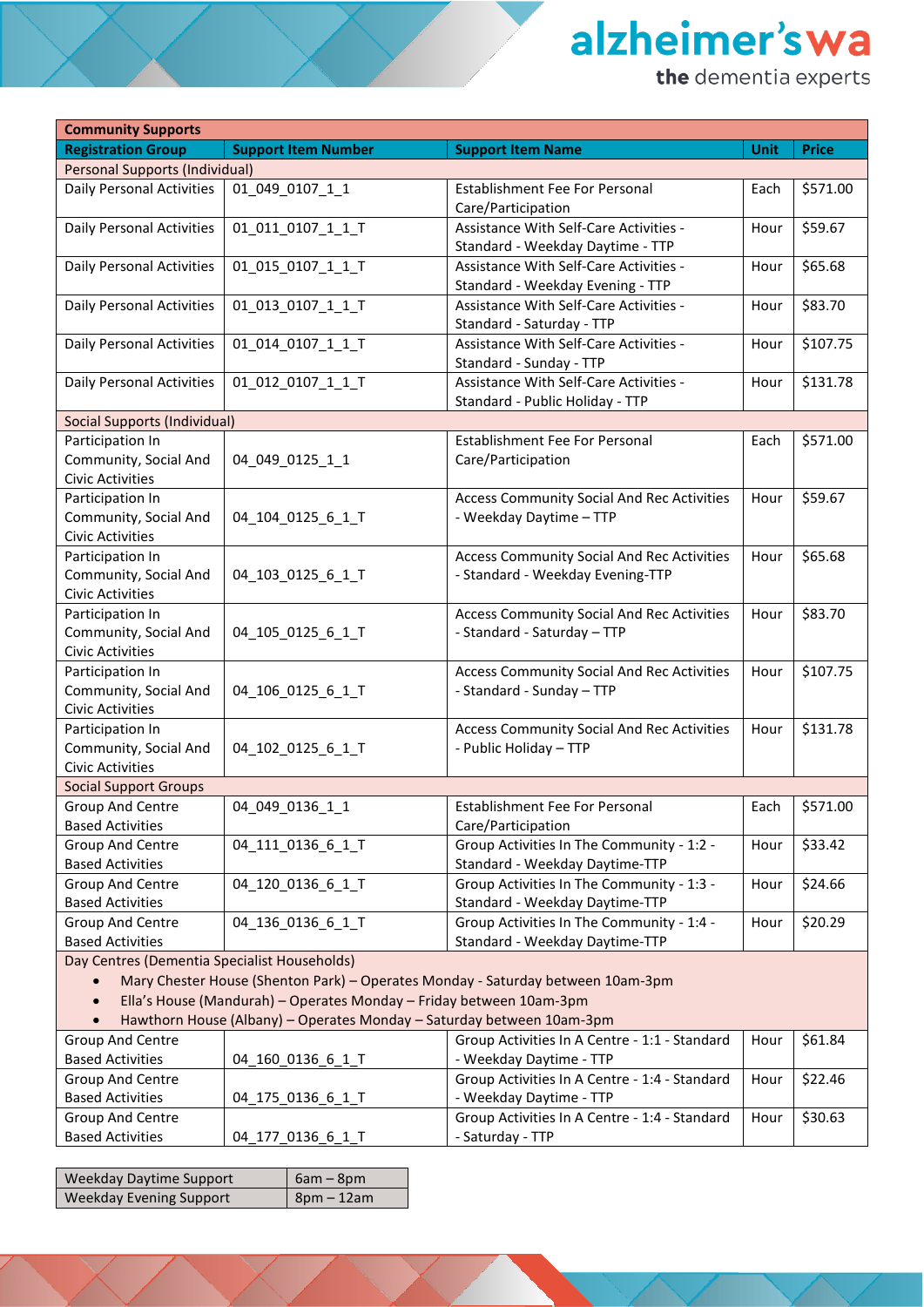alzheimer's wa

the dementia experts

| <b>Community Supports</b>                                                       |                                                                       |                                                   |             |              |  |
|---------------------------------------------------------------------------------|-----------------------------------------------------------------------|---------------------------------------------------|-------------|--------------|--|
| <b>Registration Group</b>                                                       | <b>Support Item Number</b>                                            | <b>Support Item Name</b>                          | <b>Unit</b> | <b>Price</b> |  |
| <b>Personal Supports (Individual)</b>                                           |                                                                       |                                                   |             |              |  |
| Daily Personal Activities                                                       | 01_049_0107_1_1                                                       | Establishment Fee For Personal                    | Each        | \$571.00     |  |
|                                                                                 |                                                                       | Care/Participation                                |             |              |  |
| Daily Personal Activities                                                       | 01_011_0107_1_1_T                                                     | Assistance With Self-Care Activities -            | Hour        | \$59.67      |  |
|                                                                                 |                                                                       | Standard - Weekday Daytime - TTP                  |             |              |  |
| Daily Personal Activities                                                       | 01_015_0107_1_1_T                                                     | Assistance With Self-Care Activities -            | Hour        | \$65.68      |  |
|                                                                                 |                                                                       | Standard - Weekday Evening - TTP                  |             |              |  |
| Daily Personal Activities                                                       | 01_013_0107_1_1_T                                                     | Assistance With Self-Care Activities -            | Hour        | \$83.70      |  |
|                                                                                 |                                                                       | Standard - Saturday - TTP                         |             |              |  |
| Daily Personal Activities                                                       | 01_014_0107_1_1_T                                                     | Assistance With Self-Care Activities -            | Hour        | \$107.75     |  |
|                                                                                 |                                                                       | Standard - Sunday - TTP                           |             |              |  |
| Daily Personal Activities                                                       | 01_012_0107_1_1_T                                                     | Assistance With Self-Care Activities -            | Hour        | \$131.78     |  |
|                                                                                 |                                                                       | Standard - Public Holiday - TTP                   |             |              |  |
| <b>Social Supports (Individual)</b>                                             |                                                                       |                                                   |             |              |  |
| Participation In                                                                |                                                                       | <b>Establishment Fee For Personal</b>             | Each        | \$571.00     |  |
| Community, Social And                                                           | 04_049_0125_1_1                                                       | Care/Participation                                |             |              |  |
| <b>Civic Activities</b>                                                         |                                                                       |                                                   |             |              |  |
| Participation In                                                                |                                                                       | <b>Access Community Social And Rec Activities</b> | Hour        | \$59.67      |  |
| Community, Social And                                                           | 04_104_0125_6_1_T                                                     | - Weekday Daytime - TTP                           |             |              |  |
| <b>Civic Activities</b>                                                         |                                                                       |                                                   |             |              |  |
| Participation In                                                                |                                                                       | <b>Access Community Social And Rec Activities</b> | Hour        | \$65.68      |  |
| Community, Social And                                                           | 04_103_0125_6_1_T                                                     | - Standard - Weekday Evening-TTP                  |             |              |  |
| Civic Activities                                                                |                                                                       |                                                   |             |              |  |
| Participation In                                                                |                                                                       | <b>Access Community Social And Rec Activities</b> | Hour        | \$83.70      |  |
| Community, Social And                                                           | 04_105_0125_6_1_T                                                     | - Standard - Saturday - TTP                       |             |              |  |
| <b>Civic Activities</b>                                                         |                                                                       |                                                   |             |              |  |
| Participation In                                                                |                                                                       | <b>Access Community Social And Rec Activities</b> | Hour        | \$107.75     |  |
| Community, Social And                                                           | 04_106_0125_6_1_T                                                     | - Standard - Sunday - TTP                         |             |              |  |
| Civic Activities                                                                |                                                                       |                                                   |             |              |  |
| Participation In                                                                |                                                                       | <b>Access Community Social And Rec Activities</b> | Hour        | \$131.78     |  |
| Community, Social And                                                           | 04_102_0125_6_1_T                                                     | - Public Holiday - TTP                            |             |              |  |
| <b>Civic Activities</b>                                                         |                                                                       |                                                   |             |              |  |
| <b>Social Support Groups</b>                                                    |                                                                       |                                                   |             |              |  |
| <b>Group And Centre</b>                                                         | 04 049 0136 1 1                                                       | Establishment Fee For Personal                    | Each        | \$571.00     |  |
| <b>Based Activities</b>                                                         |                                                                       | Care/Participation                                |             |              |  |
| Group And Centre                                                                | 04_111_0136_6_1_T                                                     | Group Activities In The Community - 1:2 -         | Hour        | \$33.42      |  |
| <b>Based Activities</b>                                                         |                                                                       | Standard - Weekday Daytime-TTP                    |             |              |  |
| Group And Centre                                                                | 04_120_0136_6_1_T                                                     | Group Activities In The Community - 1:3 -         | Hour        | \$24.66      |  |
| <b>Based Activities</b>                                                         |                                                                       | Standard - Weekday Daytime-TTP                    |             |              |  |
| Group And Centre                                                                | 04_136_0136_6_1_T                                                     | Group Activities In The Community - 1:4 -         | Hour        | \$20.29      |  |
| <b>Based Activities</b>                                                         |                                                                       | Standard - Weekday Daytime-TTP                    |             |              |  |
| Day Centres (Dementia Specialist Households)                                    |                                                                       |                                                   |             |              |  |
| Mary Chester House (Shenton Park) - Operates Monday - Saturday between 10am-3pm |                                                                       |                                                   |             |              |  |
| Ella's House (Mandurah) - Operates Monday - Friday between 10am-3pm             |                                                                       |                                                   |             |              |  |
|                                                                                 | Hawthorn House (Albany) - Operates Monday - Saturday between 10am-3pm |                                                   |             |              |  |
| Group And Centre                                                                |                                                                       | Group Activities In A Centre - 1:1 - Standard     | Hour        | \$61.84      |  |
| <b>Based Activities</b>                                                         | 04_160_0136_6_1_T                                                     | - Weekday Daytime - TTP                           |             |              |  |
| Group And Centre                                                                |                                                                       | Group Activities In A Centre - 1:4 - Standard     | Hour        | \$22.46      |  |
| <b>Based Activities</b>                                                         | 04_175_0136_6_1_T                                                     | - Weekday Daytime - TTP                           |             |              |  |
| Group And Centre                                                                |                                                                       | Group Activities In A Centre - 1:4 - Standard     | Hour        | \$30.63      |  |
| <b>Based Activities</b>                                                         | 04_177_0136_6_1_T                                                     | - Saturday - TTP                                  |             |              |  |

| Weekday Daytime Support        | $6am - 8pm$  |
|--------------------------------|--------------|
| <b>Weekday Evening Support</b> | $8pm - 12am$ |